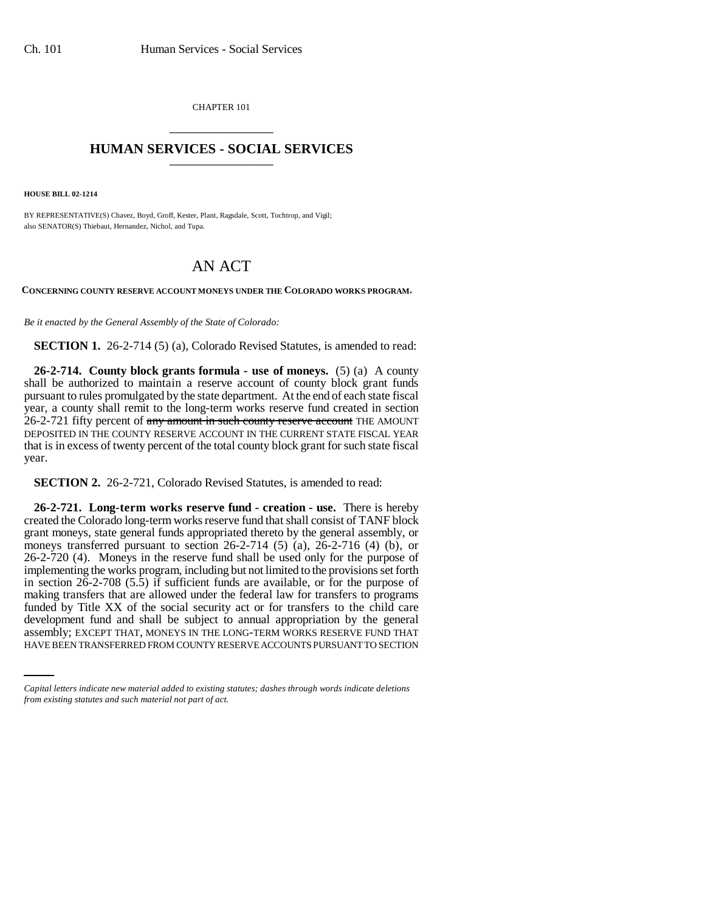CHAPTER 101 \_\_\_\_\_\_\_\_\_\_\_\_\_\_\_

## **HUMAN SERVICES - SOCIAL SERVICES** \_\_\_\_\_\_\_\_\_\_\_\_\_\_\_

**HOUSE BILL 02-1214**

BY REPRESENTATIVE(S) Chavez, Boyd, Groff, Kester, Plant, Ragsdale, Scott, Tochtrop, and Vigil; also SENATOR(S) Thiebaut, Hernandez, Nichol, and Tupa.

## AN ACT

**CONCERNING COUNTY RESERVE ACCOUNT MONEYS UNDER THE COLORADO WORKS PROGRAM.**

*Be it enacted by the General Assembly of the State of Colorado:*

**SECTION 1.** 26-2-714 (5) (a), Colorado Revised Statutes, is amended to read:

**26-2-714. County block grants formula - use of moneys.** (5) (a) A county shall be authorized to maintain a reserve account of county block grant funds pursuant to rules promulgated by the state department. At the end of each state fiscal year, a county shall remit to the long-term works reserve fund created in section 26-2-721 fifty percent of any amount in such county reserve account THE AMOUNT DEPOSITED IN THE COUNTY RESERVE ACCOUNT IN THE CURRENT STATE FISCAL YEAR that is in excess of twenty percent of the total county block grant for such state fiscal year.

**SECTION 2.** 26-2-721, Colorado Revised Statutes, is amended to read:

development fund and shall be subject to annual appropriation by the general **26-2-721. Long-term works reserve fund - creation - use.** There is hereby created the Colorado long-term works reserve fund that shall consist of TANF block grant moneys, state general funds appropriated thereto by the general assembly, or moneys transferred pursuant to section 26-2-714 (5) (a), 26-2-716 (4) (b), or 26-2-720 (4). Moneys in the reserve fund shall be used only for the purpose of implementing the works program, including but not limited to the provisions set forth in section 26-2-708 (5.5) if sufficient funds are available, or for the purpose of making transfers that are allowed under the federal law for transfers to programs funded by Title XX of the social security act or for transfers to the child care assembly; EXCEPT THAT, MONEYS IN THE LONG-TERM WORKS RESERVE FUND THAT HAVE BEEN TRANSFERRED FROM COUNTY RESERVE ACCOUNTS PURSUANT TO SECTION

*Capital letters indicate new material added to existing statutes; dashes through words indicate deletions from existing statutes and such material not part of act.*